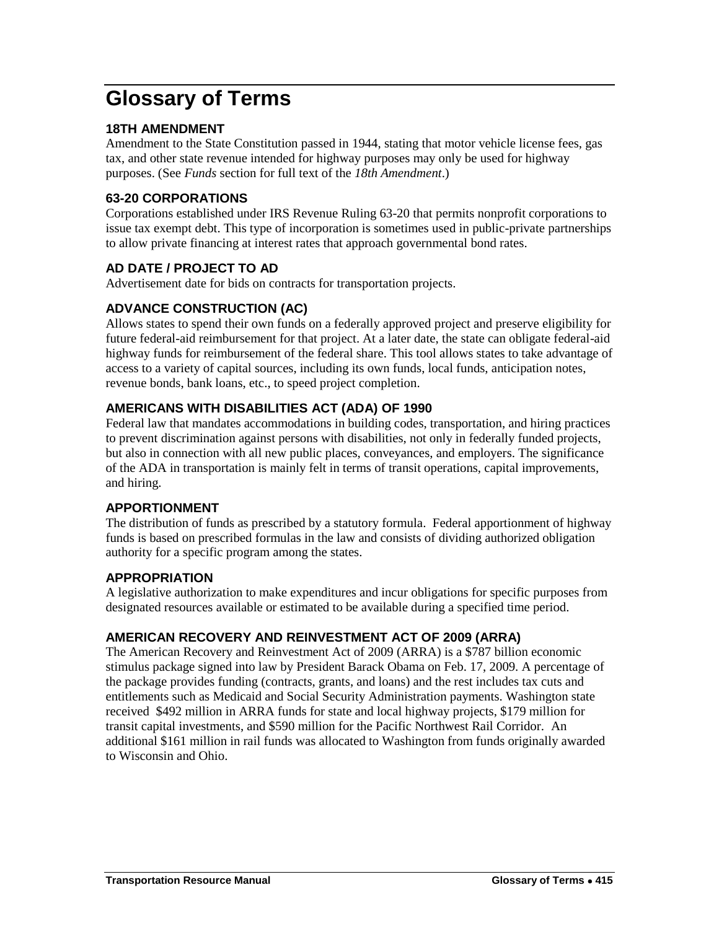# **Glossary of Terms**

## **18TH AMENDMENT**

Amendment to the State Constitution passed in 1944, stating that motor vehicle license fees, gas tax, and other state revenue intended for highway purposes may only be used for highway purposes. (See *Funds* section for full text of the *18th Amendment*.)

## **63-20 CORPORATIONS**

Corporations established under IRS Revenue Ruling 63-20 that permits nonprofit corporations to issue tax exempt debt. This type of incorporation is sometimes used in public-private partnerships to allow private financing at interest rates that approach governmental bond rates.

# **AD DATE / PROJECT TO AD**

Advertisement date for bids on contracts for transportation projects.

# **ADVANCE CONSTRUCTION (AC)**

Allows states to spend their own funds on a federally approved project and preserve eligibility for future federal-aid reimbursement for that project. At a later date, the state can obligate federal-aid highway funds for reimbursement of the federal share. This tool allows states to take advantage of access to a variety of capital sources, including its own funds, local funds, anticipation notes, revenue bonds, bank loans, etc., to speed project completion.

# **AMERICANS WITH DISABILITIES ACT (ADA) OF 1990**

Federal law that mandates accommodations in building codes, transportation, and hiring practices to prevent discrimination against persons with disabilities, not only in federally funded projects, but also in connection with all new public places, conveyances, and employers. The significance of the ADA in transportation is mainly felt in terms of transit operations, capital improvements, and hiring.

## **APPORTIONMENT**

The distribution of funds as prescribed by a statutory formula. Federal apportionment of highway funds is based on prescribed formulas in the law and consists of dividing authorized obligation authority for a specific program among the states.

## **APPROPRIATION**

A legislative authorization to make expenditures and incur obligations for specific purposes from designated resources available or estimated to be available during a specified time period.

# **AMERICAN RECOVERY AND REINVESTMENT ACT OF 2009 (ARRA)**

The American Recovery and Reinvestment Act of 2009 (ARRA) is a \$787 billion economic stimulus package signed into law by President Barack Obama on Feb. 17, 2009. A percentage of the package provides funding (contracts, grants, and loans) and the rest includes tax cuts and entitlements such as Medicaid and Social Security Administration payments. Washington state received \$492 million in ARRA funds for state and local highway projects, \$179 million for transit capital investments, and \$590 million for the Pacific Northwest Rail Corridor. An additional \$161 million in rail funds was allocated to Washington from funds originally awarded to Wisconsin and Ohio.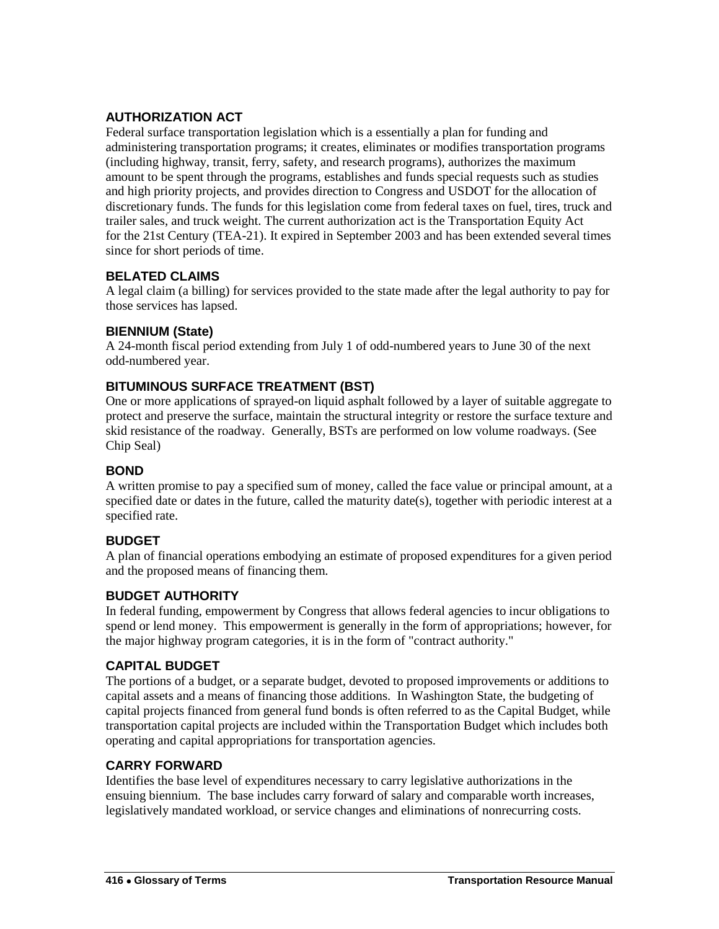# **AUTHORIZATION ACT**

Federal surface transportation legislation which is a essentially a plan for funding and administering transportation programs; it creates, eliminates or modifies transportation programs (including highway, transit, ferry, safety, and research programs), authorizes the maximum amount to be spent through the programs, establishes and funds special requests such as studies and high priority projects, and provides direction to Congress and USDOT for the allocation of discretionary funds. The funds for this legislation come from federal taxes on fuel, tires, truck and trailer sales, and truck weight. The current authorization act is the Transportation Equity Act for the 21st Century (TEA-21). It expired in September 2003 and has been extended several times since for short periods of time.

## **BELATED CLAIMS**

A legal claim (a billing) for services provided to the state made after the legal authority to pay for those services has lapsed.

## **BIENNIUM (State)**

A 24-month fiscal period extending from July 1 of odd-numbered years to June 30 of the next odd-numbered year.

## **BITUMINOUS SURFACE TREATMENT (BST)**

One or more applications of sprayed-on liquid asphalt followed by a layer of suitable aggregate to protect and preserve the surface, maintain the structural integrity or restore the surface texture and skid resistance of the roadway. Generally, BSTs are performed on low volume roadways. (See Chip Seal)

## **BOND**

A written promise to pay a specified sum of money, called the face value or principal amount, at a specified date or dates in the future, called the maturity date(s), together with periodic interest at a specified rate.

# **BUDGET**

A plan of financial operations embodying an estimate of proposed expenditures for a given period and the proposed means of financing them.

## **BUDGET AUTHORITY**

In federal funding, empowerment by Congress that allows federal agencies to incur obligations to spend or lend money. This empowerment is generally in the form of appropriations; however, for the major highway program categories, it is in the form of "contract authority."

# **CAPITAL BUDGET**

The portions of a budget, or a separate budget, devoted to proposed improvements or additions to capital assets and a means of financing those additions. In Washington State, the budgeting of capital projects financed from general fund bonds is often referred to as the Capital Budget, while transportation capital projects are included within the Transportation Budget which includes both operating and capital appropriations for transportation agencies.

## **CARRY FORWARD**

Identifies the base level of expenditures necessary to carry legislative authorizations in the ensuing biennium. The base includes carry forward of salary and comparable worth increases, legislatively mandated workload, or service changes and eliminations of nonrecurring costs.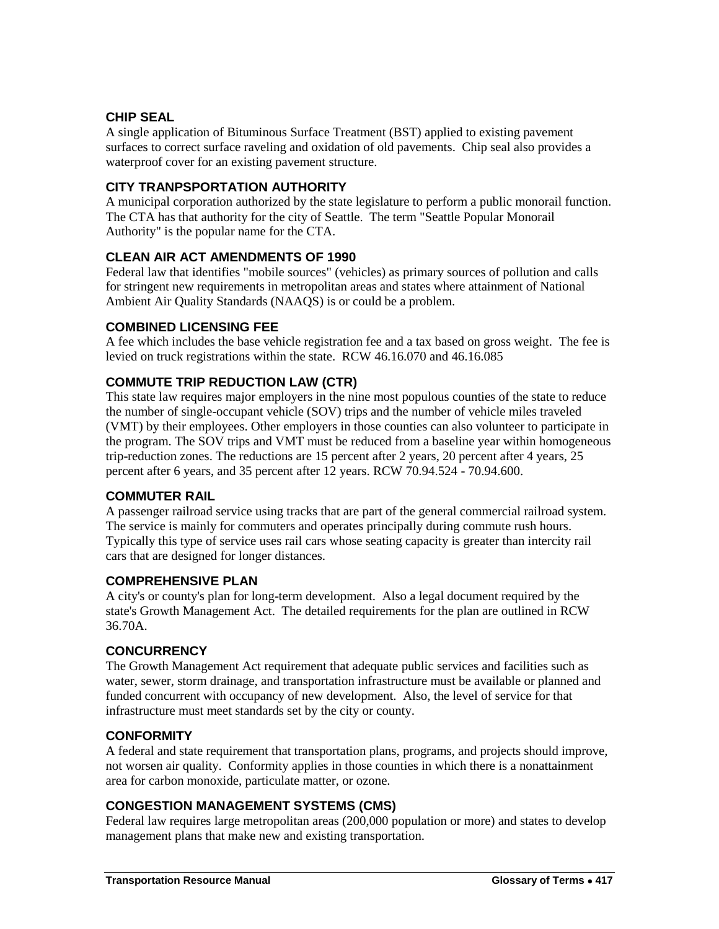## **CHIP SEAL**

A single application of Bituminous Surface Treatment (BST) applied to existing pavement surfaces to correct surface raveling and oxidation of old pavements. Chip seal also provides a waterproof cover for an existing pavement structure.

## **CITY TRANPSPORTATION AUTHORITY**

A municipal corporation authorized by the state legislature to perform a public monorail function. The CTA has that authority for the city of Seattle. The term "Seattle Popular Monorail Authority" is the popular name for the CTA.

## **CLEAN AIR ACT AMENDMENTS OF 1990**

Federal law that identifies "mobile sources" (vehicles) as primary sources of pollution and calls for stringent new requirements in metropolitan areas and states where attainment of National Ambient Air Quality Standards (NAAQS) is or could be a problem.

## **COMBINED LICENSING FEE**

A fee which includes the base vehicle registration fee and a tax based on gross weight. The fee is levied on truck registrations within the state. RCW 46.16.070 and 46.16.085

## **COMMUTE TRIP REDUCTION LAW (CTR)**

This state law requires major employers in the nine most populous counties of the state to reduce the number of single-occupant vehicle (SOV) trips and the number of vehicle miles traveled (VMT) by their employees. Other employers in those counties can also volunteer to participate in the program. The SOV trips and VMT must be reduced from a baseline year within homogeneous trip-reduction zones. The reductions are 15 percent after 2 years, 20 percent after 4 years, 25 percent after 6 years, and 35 percent after 12 years. RCW 70.94.524 - 70.94.600.

## **COMMUTER RAIL**

A passenger railroad service using tracks that are part of the general commercial railroad system. The service is mainly for commuters and operates principally during commute rush hours. Typically this type of service uses rail cars whose seating capacity is greater than intercity rail cars that are designed for longer distances.

## **COMPREHENSIVE PLAN**

A city's or county's plan for long-term development. Also a legal document required by the state's Growth Management Act. The detailed requirements for the plan are outlined in RCW 36.70A.

## **CONCURRENCY**

The Growth Management Act requirement that adequate public services and facilities such as water, sewer, storm drainage, and transportation infrastructure must be available or planned and funded concurrent with occupancy of new development. Also, the level of service for that infrastructure must meet standards set by the city or county.

## **CONFORMITY**

A federal and state requirement that transportation plans, programs, and projects should improve, not worsen air quality. Conformity applies in those counties in which there is a nonattainment area for carbon monoxide, particulate matter, or ozone.

# **CONGESTION MANAGEMENT SYSTEMS (CMS)**

Federal law requires large metropolitan areas (200,000 population or more) and states to develop management plans that make new and existing transportation.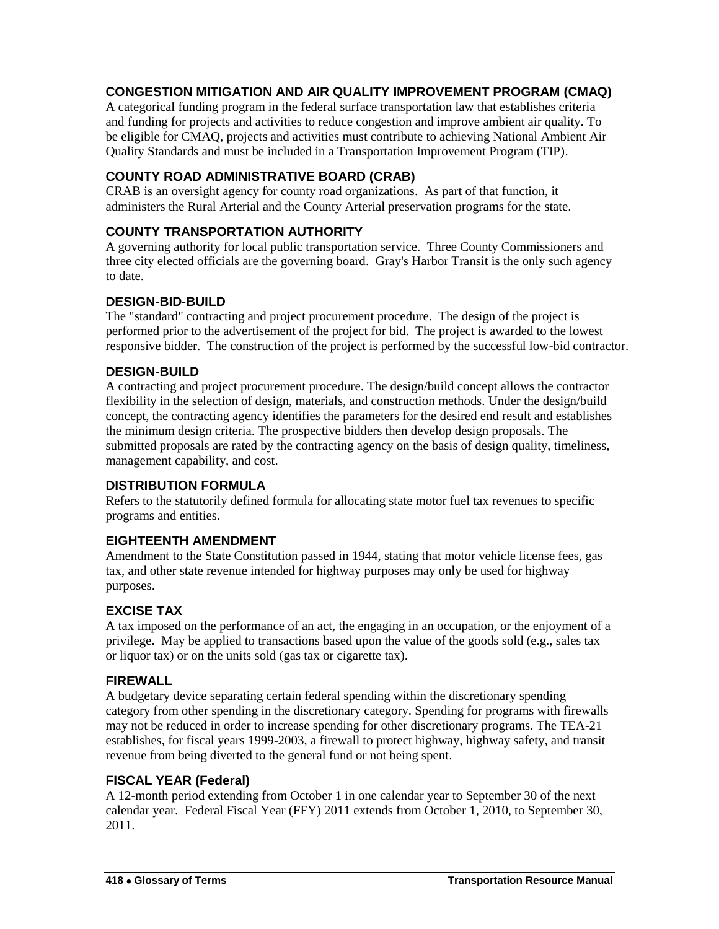# **CONGESTION MITIGATION AND AIR QUALITY IMPROVEMENT PROGRAM (CMAQ)**

A categorical funding program in the federal surface transportation law that establishes criteria and funding for projects and activities to reduce congestion and improve ambient air quality. To be eligible for CMAQ, projects and activities must contribute to achieving National Ambient Air Quality Standards and must be included in a Transportation Improvement Program (TIP).

## **COUNTY ROAD ADMINISTRATIVE BOARD (CRAB)**

CRAB is an oversight agency for county road organizations. As part of that function, it administers the Rural Arterial and the County Arterial preservation programs for the state.

## **COUNTY TRANSPORTATION AUTHORITY**

A governing authority for local public transportation service. Three County Commissioners and three city elected officials are the governing board. Gray's Harbor Transit is the only such agency to date.

## **DESIGN-BID-BUILD**

The "standard" contracting and project procurement procedure. The design of the project is performed prior to the advertisement of the project for bid. The project is awarded to the lowest responsive bidder. The construction of the project is performed by the successful low-bid contractor.

## **DESIGN-BUILD**

A contracting and project procurement procedure. The design/build concept allows the contractor flexibility in the selection of design, materials, and construction methods. Under the design/build concept, the contracting agency identifies the parameters for the desired end result and establishes the minimum design criteria. The prospective bidders then develop design proposals. The submitted proposals are rated by the contracting agency on the basis of design quality, timeliness, management capability, and cost.

## **DISTRIBUTION FORMULA**

Refers to the statutorily defined formula for allocating state motor fuel tax revenues to specific programs and entities.

## **EIGHTEENTH AMENDMENT**

Amendment to the State Constitution passed in 1944, stating that motor vehicle license fees, gas tax, and other state revenue intended for highway purposes may only be used for highway purposes.

## **EXCISE TAX**

A tax imposed on the performance of an act, the engaging in an occupation, or the enjoyment of a privilege. May be applied to transactions based upon the value of the goods sold (e.g., sales tax or liquor tax) or on the units sold (gas tax or cigarette tax).

## **FIREWALL**

A budgetary device separating certain federal spending within the discretionary spending category from other spending in the discretionary category. Spending for programs with firewalls may not be reduced in order to increase spending for other discretionary programs. The TEA-21 establishes, for fiscal years 1999-2003, a firewall to protect highway, highway safety, and transit revenue from being diverted to the general fund or not being spent.

## **FISCAL YEAR (Federal)**

A 12-month period extending from October 1 in one calendar year to September 30 of the next calendar year. Federal Fiscal Year (FFY) 2011 extends from October 1, 2010, to September 30, 2011.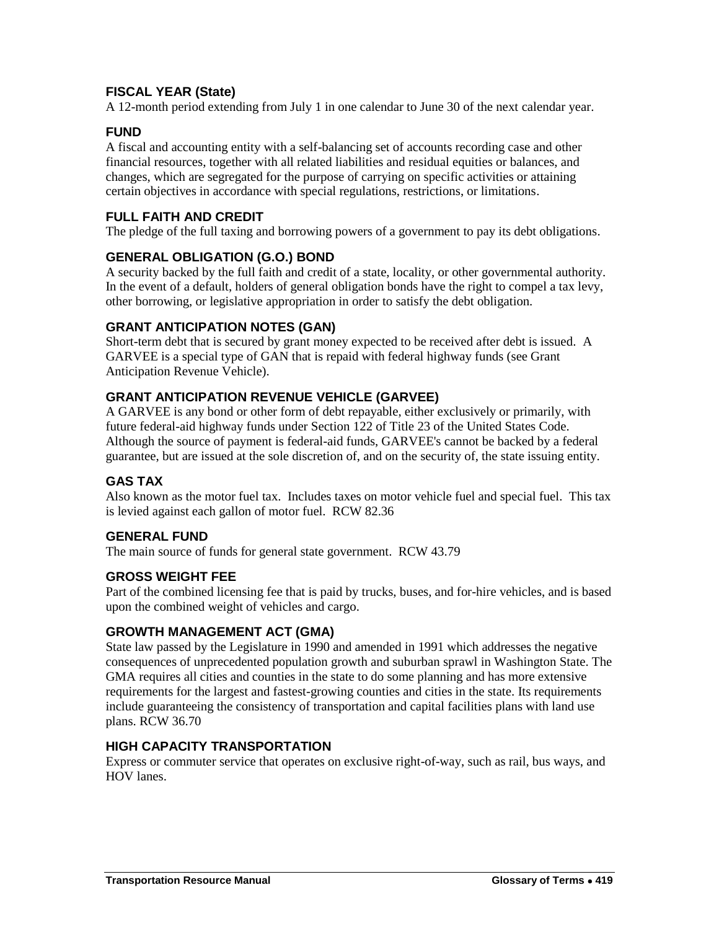# **FISCAL YEAR (State)**

A 12-month period extending from July 1 in one calendar to June 30 of the next calendar year.

## **FUND**

A fiscal and accounting entity with a self-balancing set of accounts recording case and other financial resources, together with all related liabilities and residual equities or balances, and changes, which are segregated for the purpose of carrying on specific activities or attaining certain objectives in accordance with special regulations, restrictions, or limitations.

## **FULL FAITH AND CREDIT**

The pledge of the full taxing and borrowing powers of a government to pay its debt obligations.

## **GENERAL OBLIGATION (G.O.) BOND**

A security backed by the full faith and credit of a state, locality, or other governmental authority. In the event of a default, holders of general obligation bonds have the right to compel a tax levy, other borrowing, or legislative appropriation in order to satisfy the debt obligation.

## **GRANT ANTICIPATION NOTES (GAN)**

Short-term debt that is secured by grant money expected to be received after debt is issued. A GARVEE is a special type of GAN that is repaid with federal highway funds (see Grant Anticipation Revenue Vehicle).

## **GRANT ANTICIPATION REVENUE VEHICLE (GARVEE)**

A GARVEE is any bond or other form of debt repayable, either exclusively or primarily, with future federal-aid highway funds under Section 122 of Title 23 of the United States Code. Although the source of payment is federal-aid funds, GARVEE's cannot be backed by a federal guarantee, but are issued at the sole discretion of, and on the security of, the state issuing entity.

## **GAS TAX**

Also known as the motor fuel tax. Includes taxes on motor vehicle fuel and special fuel. This tax is levied against each gallon of motor fuel. RCW 82.36

## **GENERAL FUND**

The main source of funds for general state government. RCW 43.79

## **GROSS WEIGHT FEE**

Part of the combined licensing fee that is paid by trucks, buses, and for-hire vehicles, and is based upon the combined weight of vehicles and cargo.

## **GROWTH MANAGEMENT ACT (GMA)**

State law passed by the Legislature in 1990 and amended in 1991 which addresses the negative consequences of unprecedented population growth and suburban sprawl in Washington State. The GMA requires all cities and counties in the state to do some planning and has more extensive requirements for the largest and fastest-growing counties and cities in the state. Its requirements include guaranteeing the consistency of transportation and capital facilities plans with land use plans. RCW 36.70

## **HIGH CAPACITY TRANSPORTATION**

Express or commuter service that operates on exclusive right-of-way, such as rail, bus ways, and HOV lanes.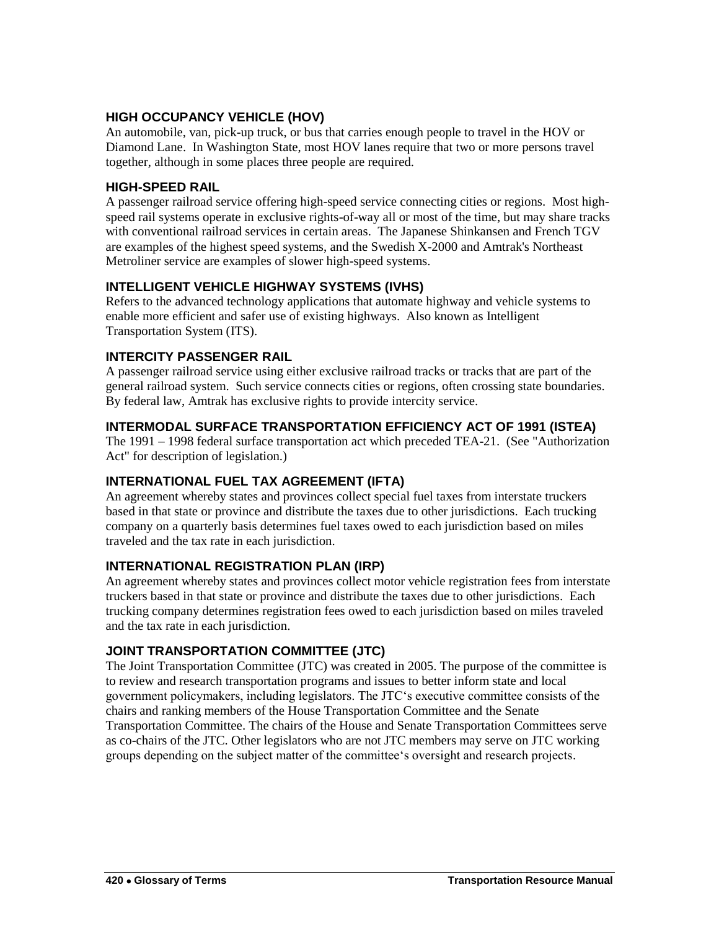## **HIGH OCCUPANCY VEHICLE (HOV)**

An automobile, van, pick-up truck, or bus that carries enough people to travel in the HOV or Diamond Lane. In Washington State, most HOV lanes require that two or more persons travel together, although in some places three people are required.

## **HIGH-SPEED RAIL**

A passenger railroad service offering high-speed service connecting cities or regions. Most highspeed rail systems operate in exclusive rights-of-way all or most of the time, but may share tracks with conventional railroad services in certain areas. The Japanese Shinkansen and French TGV are examples of the highest speed systems, and the Swedish X-2000 and Amtrak's Northeast Metroliner service are examples of slower high-speed systems.

## **INTELLIGENT VEHICLE HIGHWAY SYSTEMS (IVHS)**

Refers to the advanced technology applications that automate highway and vehicle systems to enable more efficient and safer use of existing highways. Also known as Intelligent Transportation System (ITS).

## **INTERCITY PASSENGER RAIL**

A passenger railroad service using either exclusive railroad tracks or tracks that are part of the general railroad system. Such service connects cities or regions, often crossing state boundaries. By federal law, Amtrak has exclusive rights to provide intercity service.

## **INTERMODAL SURFACE TRANSPORTATION EFFICIENCY ACT OF 1991 (ISTEA)**

The 1991 – 1998 federal surface transportation act which preceded TEA-21. (See "Authorization Act" for description of legislation.)

## **INTERNATIONAL FUEL TAX AGREEMENT (IFTA)**

An agreement whereby states and provinces collect special fuel taxes from interstate truckers based in that state or province and distribute the taxes due to other jurisdictions. Each trucking company on a quarterly basis determines fuel taxes owed to each jurisdiction based on miles traveled and the tax rate in each jurisdiction.

## **INTERNATIONAL REGISTRATION PLAN (IRP)**

An agreement whereby states and provinces collect motor vehicle registration fees from interstate truckers based in that state or province and distribute the taxes due to other jurisdictions. Each trucking company determines registration fees owed to each jurisdiction based on miles traveled and the tax rate in each jurisdiction.

# **JOINT TRANSPORTATION COMMITTEE (JTC)**

The Joint Transportation Committee (JTC) was created in 2005. The purpose of the committee is to review and research transportation programs and issues to better inform state and local government policymakers, including legislators. The JTC's executive committee consists of the chairs and ranking members of the House Transportation Committee and the Senate Transportation Committee. The chairs of the House and Senate Transportation Committees serve as co-chairs of the JTC. Other legislators who are not JTC members may serve on JTC working groups depending on the subject matter of the committee's oversight and research projects.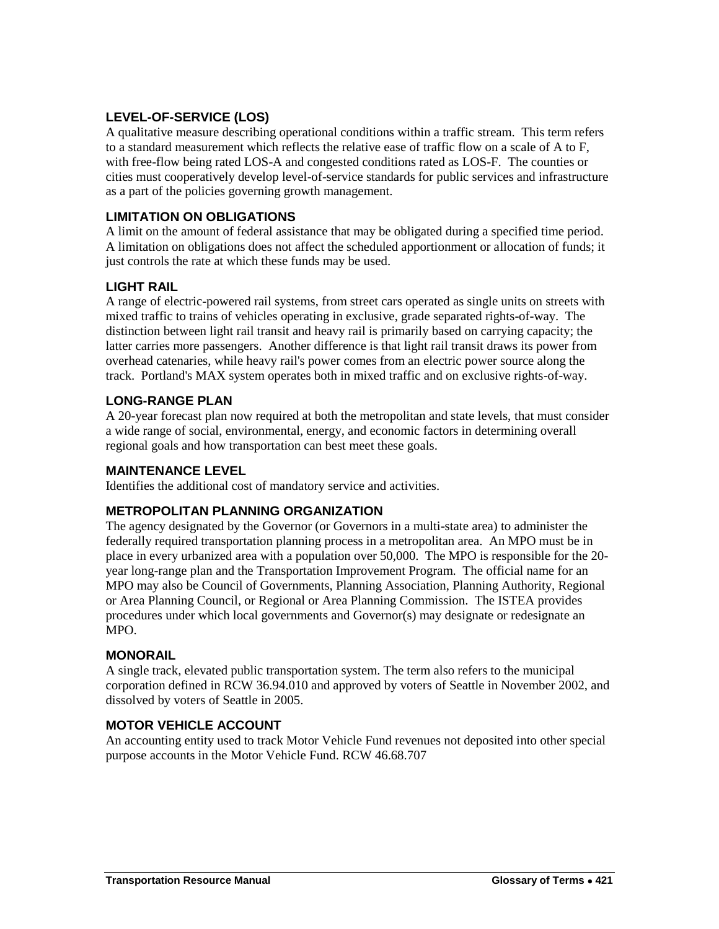# **LEVEL-OF-SERVICE (LOS)**

A qualitative measure describing operational conditions within a traffic stream. This term refers to a standard measurement which reflects the relative ease of traffic flow on a scale of A to F, with free-flow being rated LOS-A and congested conditions rated as LOS-F. The counties or cities must cooperatively develop level-of-service standards for public services and infrastructure as a part of the policies governing growth management.

## **LIMITATION ON OBLIGATIONS**

A limit on the amount of federal assistance that may be obligated during a specified time period. A limitation on obligations does not affect the scheduled apportionment or allocation of funds; it just controls the rate at which these funds may be used.

## **LIGHT RAIL**

A range of electric-powered rail systems, from street cars operated as single units on streets with mixed traffic to trains of vehicles operating in exclusive, grade separated rights-of-way. The distinction between light rail transit and heavy rail is primarily based on carrying capacity; the latter carries more passengers. Another difference is that light rail transit draws its power from overhead catenaries, while heavy rail's power comes from an electric power source along the track. Portland's MAX system operates both in mixed traffic and on exclusive rights-of-way.

## **LONG-RANGE PLAN**

A 20-year forecast plan now required at both the metropolitan and state levels, that must consider a wide range of social, environmental, energy, and economic factors in determining overall regional goals and how transportation can best meet these goals.

## **MAINTENANCE LEVEL**

Identifies the additional cost of mandatory service and activities.

# **METROPOLITAN PLANNING ORGANIZATION**

The agency designated by the Governor (or Governors in a multi-state area) to administer the federally required transportation planning process in a metropolitan area. An MPO must be in place in every urbanized area with a population over 50,000. The MPO is responsible for the 20 year long-range plan and the Transportation Improvement Program. The official name for an MPO may also be Council of Governments, Planning Association, Planning Authority, Regional or Area Planning Council, or Regional or Area Planning Commission. The ISTEA provides procedures under which local governments and Governor(s) may designate or redesignate an MPO.

## **MONORAIL**

A single track, elevated public transportation system. The term also refers to the municipal corporation defined in RCW 36.94.010 and approved by voters of Seattle in November 2002, and dissolved by voters of Seattle in 2005.

## **MOTOR VEHICLE ACCOUNT**

An accounting entity used to track Motor Vehicle Fund revenues not deposited into other special purpose accounts in the Motor Vehicle Fund. RCW 46.68.707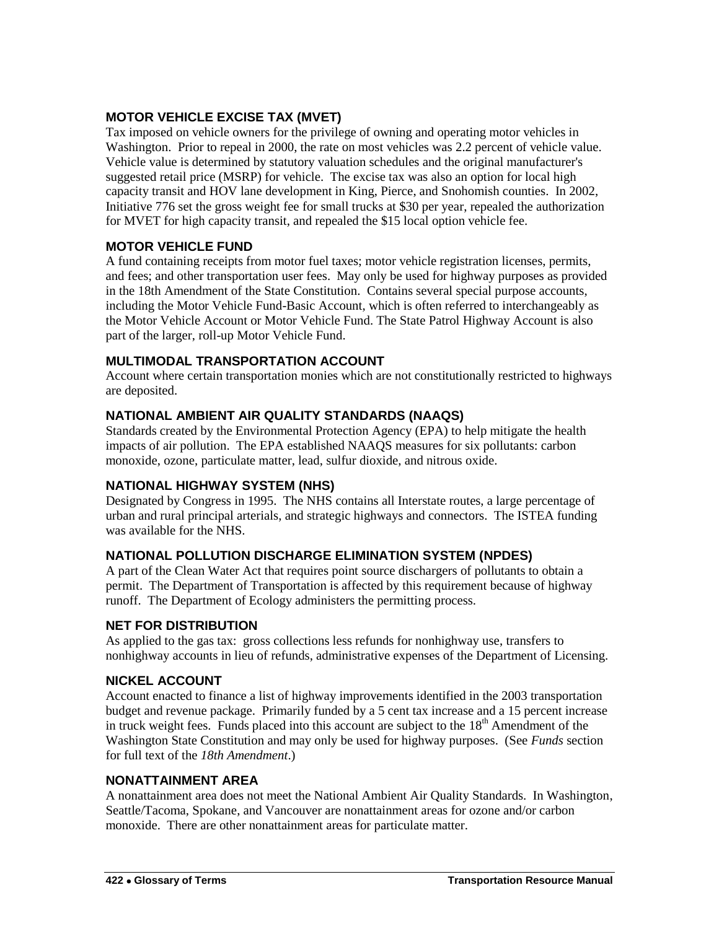# **MOTOR VEHICLE EXCISE TAX (MVET)**

Tax imposed on vehicle owners for the privilege of owning and operating motor vehicles in Washington. Prior to repeal in 2000, the rate on most vehicles was 2.2 percent of vehicle value. Vehicle value is determined by statutory valuation schedules and the original manufacturer's suggested retail price (MSRP) for vehicle. The excise tax was also an option for local high capacity transit and HOV lane development in King, Pierce, and Snohomish counties. In 2002, Initiative 776 set the gross weight fee for small trucks at \$30 per year, repealed the authorization for MVET for high capacity transit, and repealed the \$15 local option vehicle fee.

# **MOTOR VEHICLE FUND**

A fund containing receipts from motor fuel taxes; motor vehicle registration licenses, permits, and fees; and other transportation user fees. May only be used for highway purposes as provided in the 18th Amendment of the State Constitution. Contains several special purpose accounts, including the Motor Vehicle Fund-Basic Account, which is often referred to interchangeably as the Motor Vehicle Account or Motor Vehicle Fund. The State Patrol Highway Account is also part of the larger, roll-up Motor Vehicle Fund.

## **MULTIMODAL TRANSPORTATION ACCOUNT**

Account where certain transportation monies which are not constitutionally restricted to highways are deposited.

# **NATIONAL AMBIENT AIR QUALITY STANDARDS (NAAQS)**

Standards created by the Environmental Protection Agency (EPA) to help mitigate the health impacts of air pollution. The EPA established NAAQS measures for six pollutants: carbon monoxide, ozone, particulate matter, lead, sulfur dioxide, and nitrous oxide.

# **NATIONAL HIGHWAY SYSTEM (NHS)**

Designated by Congress in 1995. The NHS contains all Interstate routes, a large percentage of urban and rural principal arterials, and strategic highways and connectors. The ISTEA funding was available for the NHS.

## **NATIONAL POLLUTION DISCHARGE ELIMINATION SYSTEM (NPDES)**

A part of the Clean Water Act that requires point source dischargers of pollutants to obtain a permit. The Department of Transportation is affected by this requirement because of highway runoff. The Department of Ecology administers the permitting process.

## **NET FOR DISTRIBUTION**

As applied to the gas tax: gross collections less refunds for nonhighway use, transfers to nonhighway accounts in lieu of refunds, administrative expenses of the Department of Licensing.

# **NICKEL ACCOUNT**

Account enacted to finance a list of highway improvements identified in the 2003 transportation budget and revenue package. Primarily funded by a 5 cent tax increase and a 15 percent increase in truck weight fees. Funds placed into this account are subject to the  $18<sup>th</sup>$  Amendment of the Washington State Constitution and may only be used for highway purposes. (See *Funds* section for full text of the *18th Amendment*.)

## **NONATTAINMENT AREA**

A nonattainment area does not meet the National Ambient Air Quality Standards. In Washington, Seattle/Tacoma, Spokane, and Vancouver are nonattainment areas for ozone and/or carbon monoxide. There are other nonattainment areas for particulate matter.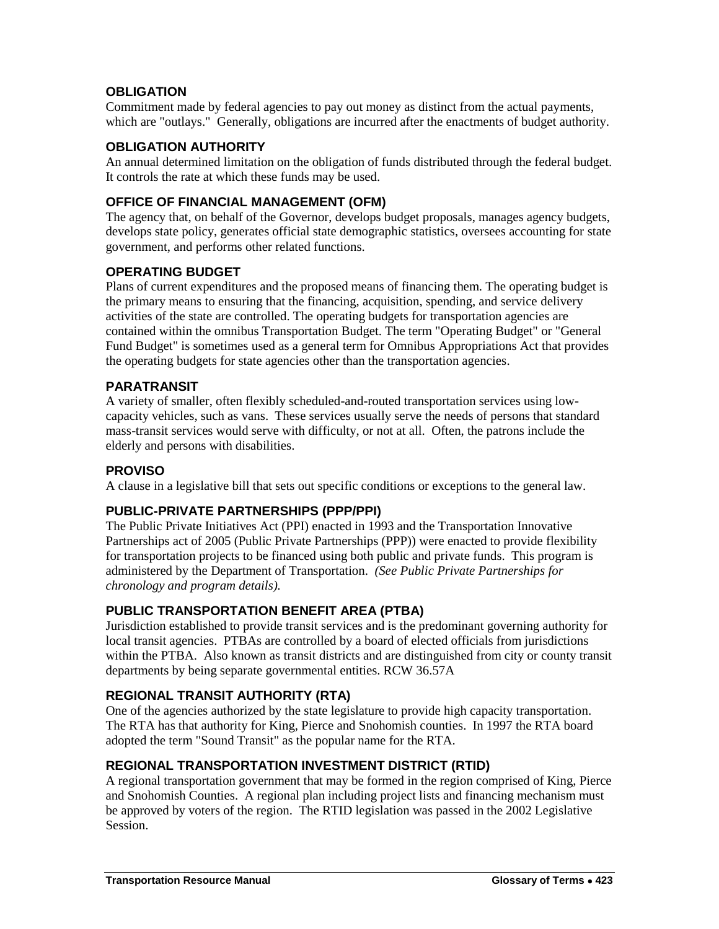## **OBLIGATION**

Commitment made by federal agencies to pay out money as distinct from the actual payments, which are "outlays." Generally, obligations are incurred after the enactments of budget authority.

## **OBLIGATION AUTHORITY**

An annual determined limitation on the obligation of funds distributed through the federal budget. It controls the rate at which these funds may be used.

## **OFFICE OF FINANCIAL MANAGEMENT (OFM)**

The agency that, on behalf of the Governor, develops budget proposals, manages agency budgets, develops state policy, generates official state demographic statistics, oversees accounting for state government, and performs other related functions.

## **OPERATING BUDGET**

Plans of current expenditures and the proposed means of financing them. The operating budget is the primary means to ensuring that the financing, acquisition, spending, and service delivery activities of the state are controlled. The operating budgets for transportation agencies are contained within the omnibus Transportation Budget. The term "Operating Budget" or "General Fund Budget" is sometimes used as a general term for Omnibus Appropriations Act that provides the operating budgets for state agencies other than the transportation agencies.

## **PARATRANSIT**

A variety of smaller, often flexibly scheduled-and-routed transportation services using lowcapacity vehicles, such as vans. These services usually serve the needs of persons that standard mass-transit services would serve with difficulty, or not at all. Often, the patrons include the elderly and persons with disabilities.

## **PROVISO**

A clause in a legislative bill that sets out specific conditions or exceptions to the general law.

# **PUBLIC-PRIVATE PARTNERSHIPS (PPP/PPI)**

The Public Private Initiatives Act (PPI) enacted in 1993 and the Transportation Innovative Partnerships act of 2005 (Public Private Partnerships (PPP)) were enacted to provide flexibility for transportation projects to be financed using both public and private funds. This program is administered by the Department of Transportation. *(See Public Private Partnerships for chronology and program details).*

# **PUBLIC TRANSPORTATION BENEFIT AREA (PTBA)**

Jurisdiction established to provide transit services and is the predominant governing authority for local transit agencies. PTBAs are controlled by a board of elected officials from jurisdictions within the PTBA. Also known as transit districts and are distinguished from city or county transit departments by being separate governmental entities. RCW 36.57A

## **REGIONAL TRANSIT AUTHORITY (RTA)**

One of the agencies authorized by the state legislature to provide high capacity transportation. The RTA has that authority for King, Pierce and Snohomish counties. In 1997 the RTA board adopted the term "Sound Transit" as the popular name for the RTA.

## **REGIONAL TRANSPORTATION INVESTMENT DISTRICT (RTID)**

A regional transportation government that may be formed in the region comprised of King, Pierce and Snohomish Counties. A regional plan including project lists and financing mechanism must be approved by voters of the region. The RTID legislation was passed in the 2002 Legislative Session.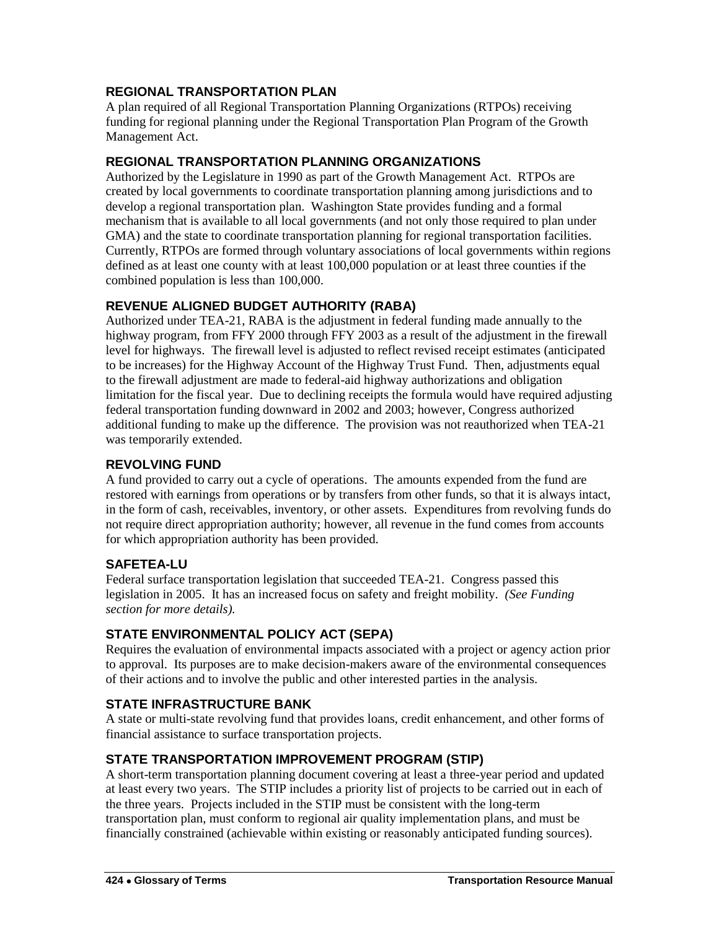# **REGIONAL TRANSPORTATION PLAN**

A plan required of all Regional Transportation Planning Organizations (RTPOs) receiving funding for regional planning under the Regional Transportation Plan Program of the Growth Management Act.

## **REGIONAL TRANSPORTATION PLANNING ORGANIZATIONS**

Authorized by the Legislature in 1990 as part of the Growth Management Act. RTPOs are created by local governments to coordinate transportation planning among jurisdictions and to develop a regional transportation plan. Washington State provides funding and a formal mechanism that is available to all local governments (and not only those required to plan under GMA) and the state to coordinate transportation planning for regional transportation facilities. Currently, RTPOs are formed through voluntary associations of local governments within regions defined as at least one county with at least 100,000 population or at least three counties if the combined population is less than 100,000.

## **REVENUE ALIGNED BUDGET AUTHORITY (RABA)**

Authorized under TEA-21, RABA is the adjustment in federal funding made annually to the highway program, from FFY 2000 through FFY 2003 as a result of the adjustment in the firewall level for highways. The firewall level is adjusted to reflect revised receipt estimates (anticipated to be increases) for the Highway Account of the Highway Trust Fund. Then, adjustments equal to the firewall adjustment are made to federal-aid highway authorizations and obligation limitation for the fiscal year. Due to declining receipts the formula would have required adjusting federal transportation funding downward in 2002 and 2003; however, Congress authorized additional funding to make up the difference. The provision was not reauthorized when TEA-21 was temporarily extended.

## **REVOLVING FUND**

A fund provided to carry out a cycle of operations. The amounts expended from the fund are restored with earnings from operations or by transfers from other funds, so that it is always intact, in the form of cash, receivables, inventory, or other assets. Expenditures from revolving funds do not require direct appropriation authority; however, all revenue in the fund comes from accounts for which appropriation authority has been provided.

## **SAFETEA-LU**

Federal surface transportation legislation that succeeded TEA-21. Congress passed this legislation in 2005. It has an increased focus on safety and freight mobility. *(See Funding section for more details).*

# **STATE ENVIRONMENTAL POLICY ACT (SEPA)**

Requires the evaluation of environmental impacts associated with a project or agency action prior to approval. Its purposes are to make decision-makers aware of the environmental consequences of their actions and to involve the public and other interested parties in the analysis.

# **STATE INFRASTRUCTURE BANK**

A state or multi-state revolving fund that provides loans, credit enhancement, and other forms of financial assistance to surface transportation projects.

# **STATE TRANSPORTATION IMPROVEMENT PROGRAM (STIP)**

A short-term transportation planning document covering at least a three-year period and updated at least every two years. The STIP includes a priority list of projects to be carried out in each of the three years. Projects included in the STIP must be consistent with the long-term transportation plan, must conform to regional air quality implementation plans, and must be financially constrained (achievable within existing or reasonably anticipated funding sources).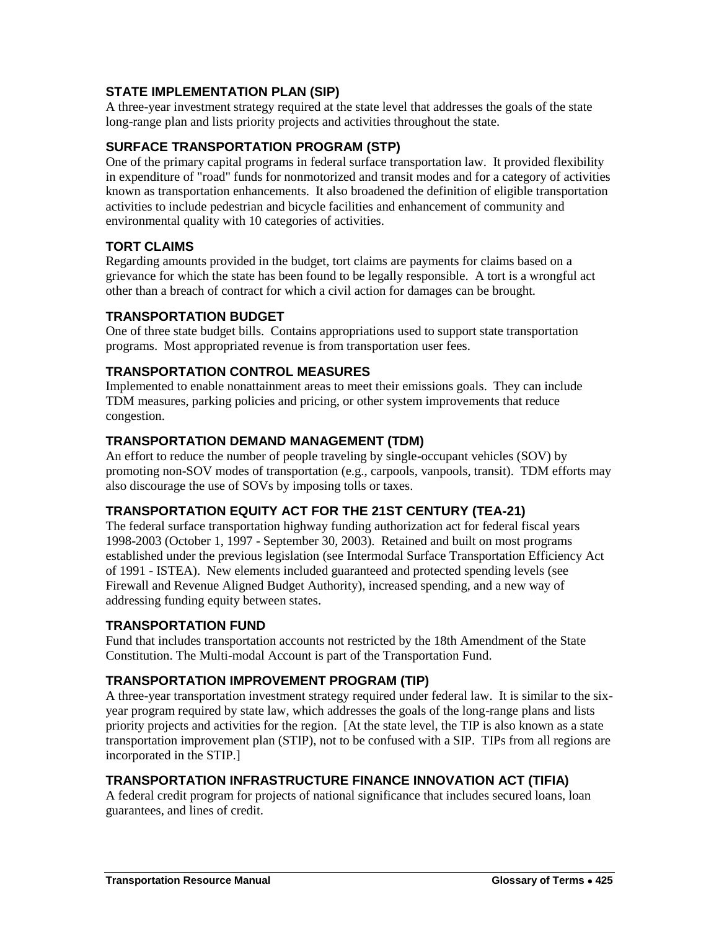# **STATE IMPLEMENTATION PLAN (SIP)**

A three-year investment strategy required at the state level that addresses the goals of the state long-range plan and lists priority projects and activities throughout the state.

# **SURFACE TRANSPORTATION PROGRAM (STP)**

One of the primary capital programs in federal surface transportation law. It provided flexibility in expenditure of "road" funds for nonmotorized and transit modes and for a category of activities known as transportation enhancements. It also broadened the definition of eligible transportation activities to include pedestrian and bicycle facilities and enhancement of community and environmental quality with 10 categories of activities.

# **TORT CLAIMS**

Regarding amounts provided in the budget, tort claims are payments for claims based on a grievance for which the state has been found to be legally responsible. A tort is a wrongful act other than a breach of contract for which a civil action for damages can be brought.

## **TRANSPORTATION BUDGET**

One of three state budget bills. Contains appropriations used to support state transportation programs. Most appropriated revenue is from transportation user fees.

## **TRANSPORTATION CONTROL MEASURES**

Implemented to enable nonattainment areas to meet their emissions goals. They can include TDM measures, parking policies and pricing, or other system improvements that reduce congestion.

## **TRANSPORTATION DEMAND MANAGEMENT (TDM)**

An effort to reduce the number of people traveling by single-occupant vehicles (SOV) by promoting non-SOV modes of transportation (e.g., carpools, vanpools, transit). TDM efforts may also discourage the use of SOVs by imposing tolls or taxes.

# **TRANSPORTATION EQUITY ACT FOR THE 21ST CENTURY (TEA-21)**

The federal surface transportation highway funding authorization act for federal fiscal years 1998-2003 (October 1, 1997 - September 30, 2003). Retained and built on most programs established under the previous legislation (see Intermodal Surface Transportation Efficiency Act of 1991 - ISTEA). New elements included guaranteed and protected spending levels (see Firewall and Revenue Aligned Budget Authority), increased spending, and a new way of addressing funding equity between states.

## **TRANSPORTATION FUND**

Fund that includes transportation accounts not restricted by the 18th Amendment of the State Constitution. The Multi-modal Account is part of the Transportation Fund.

# **TRANSPORTATION IMPROVEMENT PROGRAM (TIP)**

A three-year transportation investment strategy required under federal law. It is similar to the sixyear program required by state law, which addresses the goals of the long-range plans and lists priority projects and activities for the region. [At the state level, the TIP is also known as a state transportation improvement plan (STIP), not to be confused with a SIP. TIPs from all regions are incorporated in the STIP.]

## **TRANSPORTATION INFRASTRUCTURE FINANCE INNOVATION ACT (TIFIA)**

A federal credit program for projects of national significance that includes secured loans, loan guarantees, and lines of credit.